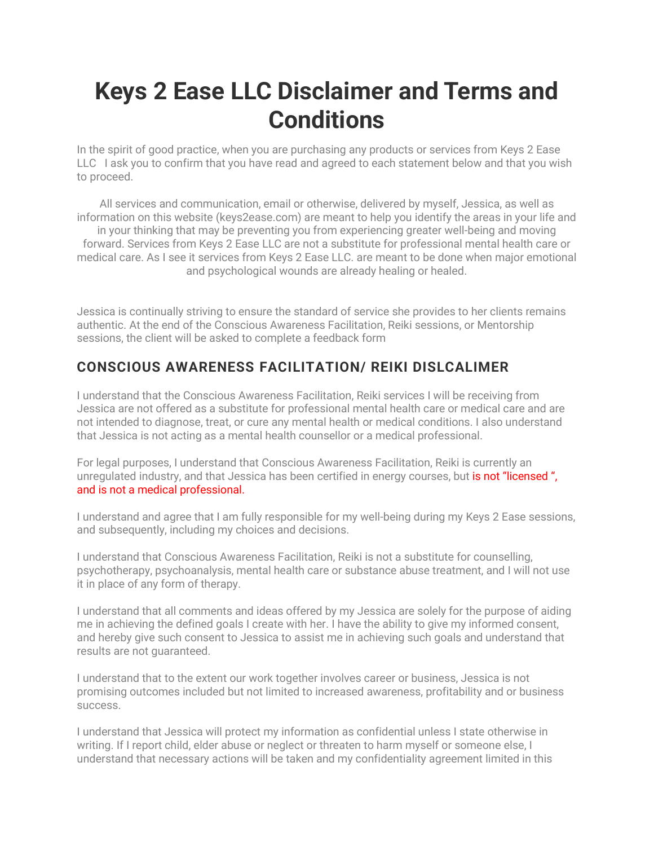# **Keys 2 Ease LLC Disclaimer and Terms and Conditions**

In the spirit of good practice, when you are purchasing any products or services from Keys 2 Ease LLC I ask you to confirm that you have read and agreed to each statement below and that you wish to proceed.

All services and communication, email or otherwise, delivered by myself, Jessica, as well as information on this website (keys2ease.com) are meant to help you identify the areas in your life and in your thinking that may be preventing you from experiencing greater well-being and moving forward. Services from Keys 2 Ease LLC are not a substitute for professional mental health care or medical care. As I see it services from Keys 2 Ease LLC. are meant to be done when major emotional and psychological wounds are already healing or healed.

Jessica is continually striving to ensure the standard of service she provides to her clients remains authentic. At the end of the Conscious Awareness Facilitation, Reiki sessions, or Mentorship sessions, the client will be asked to complete a feedback form

#### **CONSCIOUS AWARENESS FACILITATION/ REIKI DISLCALIMER**

I understand that the Conscious Awareness Facilitation, Reiki services I will be receiving from Jessica are not offered as a substitute for professional mental health care or medical care and are not intended to diagnose, treat, or cure any mental health or medical conditions. I also understand that Jessica is not acting as a mental health counsellor or a medical professional.

For legal purposes, I understand that Conscious Awareness Facilitation, Reiki is currently an unregulated industry, and that Jessica has been certified in energy courses, but is not "licensed", and is not a medical professional.

I understand and agree that I am fully responsible for my well-being during my Keys 2 Ease sessions, and subsequently, including my choices and decisions.

I understand that Conscious Awareness Facilitation, Reiki is not a substitute for counselling, psychotherapy, psychoanalysis, mental health care or substance abuse treatment, and I will not use it in place of any form of therapy.

I understand that all comments and ideas offered by my Jessica are solely for the purpose of aiding me in achieving the defined goals I create with her. I have the ability to give my informed consent, and hereby give such consent to Jessica to assist me in achieving such goals and understand that results are not guaranteed.

I understand that to the extent our work together involves career or business, Jessica is not promising outcomes included but not limited to increased awareness, profitability and or business success.

I understand that Jessica will protect my information as confidential unless I state otherwise in writing. If I report child, elder abuse or neglect or threaten to harm myself or someone else, I understand that necessary actions will be taken and my confidentiality agreement limited in this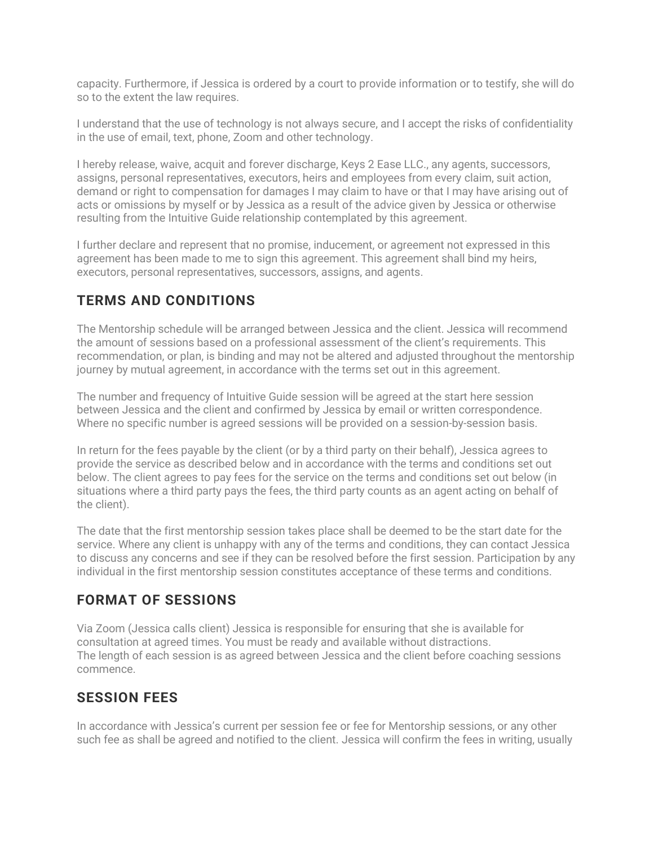capacity. Furthermore, if Jessica is ordered by a court to provide information or to testify, she will do so to the extent the law requires.

I understand that the use of technology is not always secure, and I accept the risks of confidentiality in the use of email, text, phone, Zoom and other technology.

I hereby release, waive, acquit and forever discharge, Keys 2 Ease LLC., any agents, successors, assigns, personal representatives, executors, heirs and employees from every claim, suit action, demand or right to compensation for damages I may claim to have or that I may have arising out of acts or omissions by myself or by Jessica as a result of the advice given by Jessica or otherwise resulting from the Intuitive Guide relationship contemplated by this agreement.

I further declare and represent that no promise, inducement, or agreement not expressed in this agreement has been made to me to sign this agreement. This agreement shall bind my heirs, executors, personal representatives, successors, assigns, and agents.

#### **TERMS AND CONDITIONS**

The Mentorship schedule will be arranged between Jessica and the client. Jessica will recommend the amount of sessions based on a professional assessment of the client's requirements. This recommendation, or plan, is binding and may not be altered and adjusted throughout the mentorship journey by mutual agreement, in accordance with the terms set out in this agreement.

The number and frequency of Intuitive Guide session will be agreed at the start here session between Jessica and the client and confirmed by Jessica by email or written correspondence. Where no specific number is agreed sessions will be provided on a session-by-session basis.

In return for the fees payable by the client (or by a third party on their behalf), Jessica agrees to provide the service as described below and in accordance with the terms and conditions set out below. The client agrees to pay fees for the service on the terms and conditions set out below (in situations where a third party pays the fees, the third party counts as an agent acting on behalf of the client).

The date that the first mentorship session takes place shall be deemed to be the start date for the service. Where any client is unhappy with any of the terms and conditions, they can contact Jessica to discuss any concerns and see if they can be resolved before the first session. Participation by any individual in the first mentorship session constitutes acceptance of these terms and conditions.

#### **FORMAT OF SESSIONS**

Via Zoom (Jessica calls client) Jessica is responsible for ensuring that she is available for consultation at agreed times. You must be ready and available without distractions. The length of each session is as agreed between Jessica and the client before coaching sessions commence.

#### **SESSION FEES**

In accordance with Jessica's current per session fee or fee for Mentorship sessions, or any other such fee as shall be agreed and notified to the client. Jessica will confirm the fees in writing, usually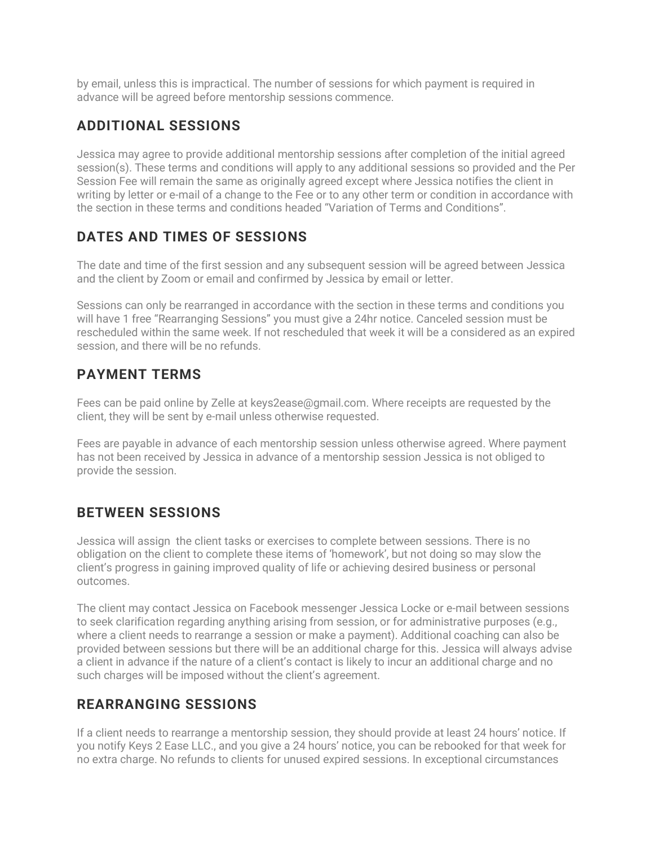by email, unless this is impractical. The number of sessions for which payment is required in advance will be agreed before mentorship sessions commence.

# **ADDITIONAL SESSIONS**

Jessica may agree to provide additional mentorship sessions after completion of the initial agreed session(s). These terms and conditions will apply to any additional sessions so provided and the Per Session Fee will remain the same as originally agreed except where Jessica notifies the client in writing by letter or e-mail of a change to the Fee or to any other term or condition in accordance with the section in these terms and conditions headed "Variation of Terms and Conditions".

# **DATES AND TIMES OF SESSIONS**

The date and time of the first session and any subsequent session will be agreed between Jessica and the client by Zoom or email and confirmed by Jessica by email or letter.

Sessions can only be rearranged in accordance with the section in these terms and conditions you will have 1 free "Rearranging Sessions" you must give a 24hr notice. Canceled session must be rescheduled within the same week. If not rescheduled that week it will be a considered as an expired session, and there will be no refunds.

#### **PAYMENT TERMS**

Fees can be paid online by Zelle at keys2ease@gmail.com. Where receipts are requested by the client, they will be sent by e-mail unless otherwise requested.

Fees are payable in advance of each mentorship session unless otherwise agreed. Where payment has not been received by Jessica in advance of a mentorship session Jessica is not obliged to provide the session.

#### **BETWEEN SESSIONS**

Jessica will assign the client tasks or exercises to complete between sessions. There is no obligation on the client to complete these items of 'homework', but not doing so may slow the client's progress in gaining improved quality of life or achieving desired business or personal outcomes.

The client may contact Jessica on Facebook messenger Jessica Locke or e-mail between sessions to seek clarification regarding anything arising from session, or for administrative purposes (e.g., where a client needs to rearrange a session or make a payment). Additional coaching can also be provided between sessions but there will be an additional charge for this. Jessica will always advise a client in advance if the nature of a client's contact is likely to incur an additional charge and no such charges will be imposed without the client's agreement.

# **REARRANGING SESSIONS**

If a client needs to rearrange a mentorship session, they should provide at least 24 hours' notice. If you notify Keys 2 Ease LLC., and you give a 24 hours' notice, you can be rebooked for that week for no extra charge. No refunds to clients for unused expired sessions. In exceptional circumstances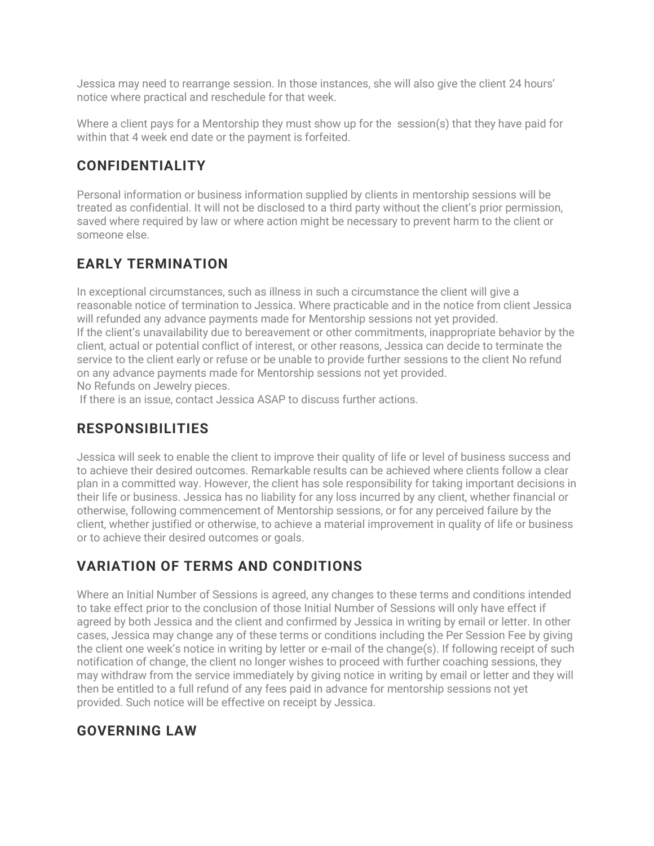Jessica may need to rearrange session. In those instances, she will also give the client 24 hours' notice where practical and reschedule for that week.

Where a client pays for a Mentorship they must show up for the session(s) that they have paid for within that 4 week end date or the payment is forfeited.

# **CONFIDENTIALITY**

Personal information or business information supplied by clients in mentorship sessions will be treated as confidential. It will not be disclosed to a third party without the client's prior permission, saved where required by law or where action might be necessary to prevent harm to the client or someone else.

# **EARLY TERMINATION**

In exceptional circumstances, such as illness in such a circumstance the client will give a reasonable notice of termination to Jessica. Where practicable and in the notice from client Jessica will refunded any advance payments made for Mentorship sessions not yet provided. If the client's unavailability due to bereavement or other commitments, inappropriate behavior by the client, actual or potential conflict of interest, or other reasons, Jessica can decide to terminate the service to the client early or refuse or be unable to provide further sessions to the client No refund on any advance payments made for Mentorship sessions not yet provided. No Refunds on Jewelry pieces.

If there is an issue, contact Jessica ASAP to discuss further actions.

# **RESPONSIBILITIES**

Jessica will seek to enable the client to improve their quality of life or level of business success and to achieve their desired outcomes. Remarkable results can be achieved where clients follow a clear plan in a committed way. However, the client has sole responsibility for taking important decisions in their life or business. Jessica has no liability for any loss incurred by any client, whether financial or otherwise, following commencement of Mentorship sessions, or for any perceived failure by the client, whether justified or otherwise, to achieve a material improvement in quality of life or business or to achieve their desired outcomes or goals.

# **VARIATION OF TERMS AND CONDITIONS**

Where an Initial Number of Sessions is agreed, any changes to these terms and conditions intended to take effect prior to the conclusion of those Initial Number of Sessions will only have effect if agreed by both Jessica and the client and confirmed by Jessica in writing by email or letter. In other cases, Jessica may change any of these terms or conditions including the Per Session Fee by giving the client one week's notice in writing by letter or e-mail of the change(s). If following receipt of such notification of change, the client no longer wishes to proceed with further coaching sessions, they may withdraw from the service immediately by giving notice in writing by email or letter and they will then be entitled to a full refund of any fees paid in advance for mentorship sessions not yet provided. Such notice will be effective on receipt by Jessica.

#### **GOVERNING LAW**